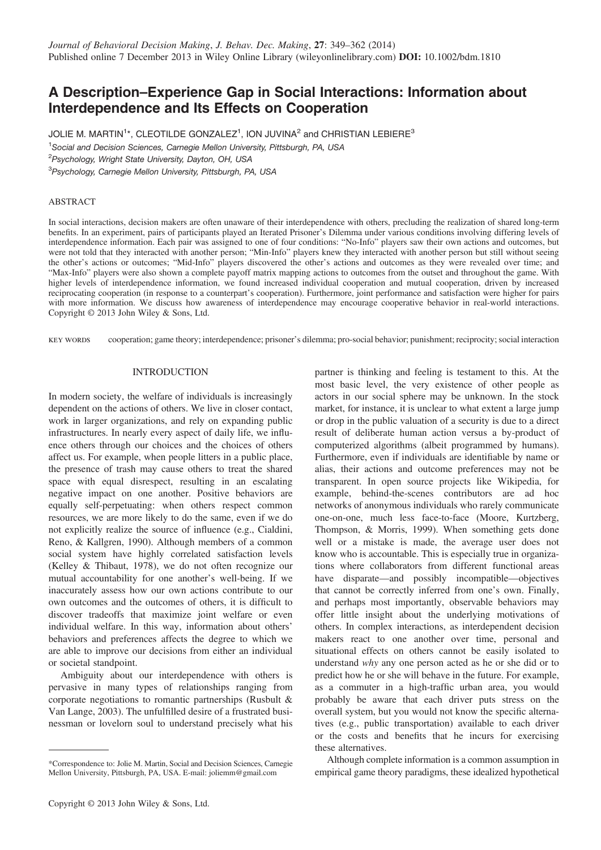# A Description–Experience Gap in Social Interactions: Information about Interdependence and Its Effects on Cooperation

JOLIE M. MARTIN $^{1\star}$ . CLEOTILDE GONZALEZ $^1$ . ION JUVINA $^2$  and CHRISTIAN LEBIERE $^3$ 

<sup>1</sup>Social and Decision Sciences, Carnegie Mellon University, Pittsburgh, PA, USA

<sup>2</sup>Psychology, Wright State University, Dayton, OH, USA

<sup>3</sup>Psychology, Carnegie Mellon University, Pittsburgh, PA, USA

#### ABSTRACT

In social interactions, decision makers are often unaware of their interdependence with others, precluding the realization of shared long-term benefits. In an experiment, pairs of participants played an Iterated Prisoner's Dilemma under various conditions involving differing levels of interdependence information. Each pair was assigned to one of four conditions: "No-Info" players saw their own actions and outcomes, but were not told that they interacted with another person; "Min-Info" players knew they interacted with another person but still without seeing the other's actions or outcomes; "Mid-Info" players discovered the other's actions and outcomes as they were revealed over time; and "Max-Info" players were also shown a complete payoff matrix mapping actions to outcomes from the outset and throughout the game. With higher levels of interdependence information, we found increased individual cooperation and mutual cooperation, driven by increased reciprocating cooperation (in response to a counterpart's cooperation). Furthermore, joint performance and satisfaction were higher for pairs with more information. We discuss how awareness of interdependence may encourage cooperative behavior in real-world interactions. Copyright © 2013 John Wiley & Sons, Ltd.

key words cooperation; game theory; interdependence; prisoner's dilemma; pro-social behavior; punishment; reciprocity; social interaction

#### **INTRODUCTION**

In modern society, the welfare of individuals is increasingly dependent on the actions of others. We live in closer contact, work in larger organizations, and rely on expanding public infrastructures. In nearly every aspect of daily life, we influence others through our choices and the choices of others affect us. For example, when people litters in a public place, the presence of trash may cause others to treat the shared space with equal disrespect, resulting in an escalating negative impact on one another. Positive behaviors are equally self-perpetuating: when others respect common resources, we are more likely to do the same, even if we do not explicitly realize the source of influence (e.g., Cialdini, Reno, & Kallgren, 1990). Although members of a common social system have highly correlated satisfaction levels (Kelley & Thibaut, 1978), we do not often recognize our mutual accountability for one another's well-being. If we inaccurately assess how our own actions contribute to our own outcomes and the outcomes of others, it is difficult to discover tradeoffs that maximize joint welfare or even individual welfare. In this way, information about others' behaviors and preferences affects the degree to which we are able to improve our decisions from either an individual or societal standpoint.

Ambiguity about our interdependence with others is pervasive in many types of relationships ranging from corporate negotiations to romantic partnerships (Rusbult & Van Lange, 2003). The unfulfilled desire of a frustrated businessman or lovelorn soul to understand precisely what his partner is thinking and feeling is testament to this. At the most basic level, the very existence of other people as actors in our social sphere may be unknown. In the stock market, for instance, it is unclear to what extent a large jump or drop in the public valuation of a security is due to a direct result of deliberate human action versus a by-product of computerized algorithms (albeit programmed by humans). Furthermore, even if individuals are identifiable by name or alias, their actions and outcome preferences may not be transparent. In open source projects like Wikipedia, for example, behind-the-scenes contributors are ad hoc networks of anonymous individuals who rarely communicate one-on-one, much less face-to-face (Moore, Kurtzberg, Thompson, & Morris, 1999). When something gets done well or a mistake is made, the average user does not know who is accountable. This is especially true in organizations where collaborators from different functional areas have disparate—and possibly incompatible—objectives that cannot be correctly inferred from one's own. Finally, and perhaps most importantly, observable behaviors may offer little insight about the underlying motivations of others. In complex interactions, as interdependent decision makers react to one another over time, personal and situational effects on others cannot be easily isolated to understand why any one person acted as he or she did or to predict how he or she will behave in the future. For example, as a commuter in a high-traffic urban area, you would probably be aware that each driver puts stress on the overall system, but you would not know the specific alternatives (e.g., public transportation) available to each driver or the costs and benefits that he incurs for exercising these alternatives.

Although complete information is a common assumption in empirical game theory paradigms, these idealized hypothetical

<sup>\*</sup>Correspondence to: Jolie M. Martin, Social and Decision Sciences, Carnegie Mellon University, Pittsburgh, PA, USA. E-mail: joliemm@gmail.com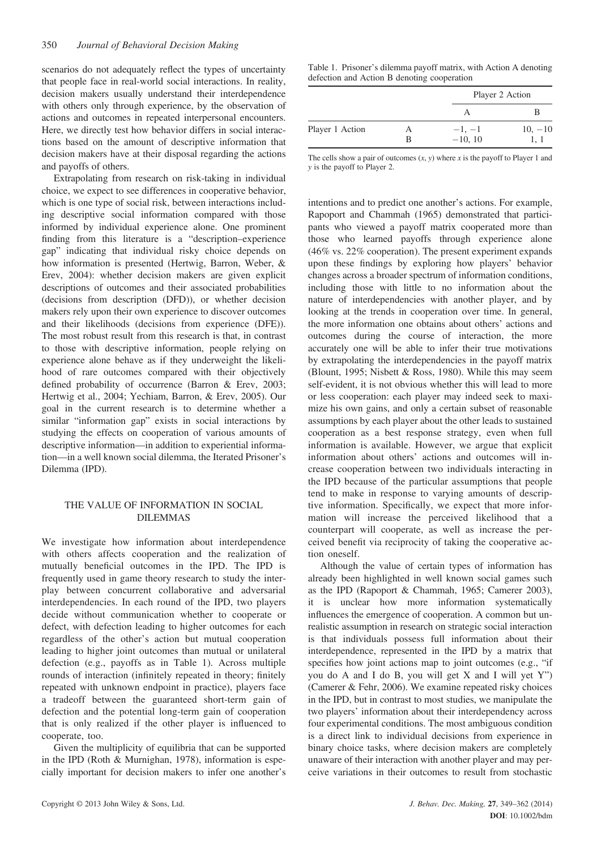scenarios do not adequately reflect the types of uncertainty that people face in real-world social interactions. In reality, decision makers usually understand their interdependence with others only through experience, by the observation of actions and outcomes in repeated interpersonal encounters. Here, we directly test how behavior differs in social interactions based on the amount of descriptive information that decision makers have at their disposal regarding the actions and payoffs of others.

Extrapolating from research on risk-taking in individual choice, we expect to see differences in cooperative behavior, which is one type of social risk, between interactions including descriptive social information compared with those informed by individual experience alone. One prominent finding from this literature is a "description–experience gap" indicating that individual risky choice depends on how information is presented (Hertwig, Barron, Weber, & Erev, 2004): whether decision makers are given explicit descriptions of outcomes and their associated probabilities (decisions from description (DFD)), or whether decision makers rely upon their own experience to discover outcomes and their likelihoods (decisions from experience (DFE)). The most robust result from this research is that, in contrast to those with descriptive information, people relying on experience alone behave as if they underweight the likelihood of rare outcomes compared with their objectively defined probability of occurrence (Barron & Erev, 2003; Hertwig et al., 2004; Yechiam, Barron, & Erev, 2005). Our goal in the current research is to determine whether a similar "information gap" exists in social interactions by studying the effects on cooperation of various amounts of descriptive information—in addition to experiential information—in a well known social dilemma, the Iterated Prisoner's Dilemma (IPD).

## THE VALUE OF INFORMATION IN SOCIAL. DILEMMAS

We investigate how information about interdependence with others affects cooperation and the realization of mutually beneficial outcomes in the IPD. The IPD is frequently used in game theory research to study the interplay between concurrent collaborative and adversarial interdependencies. In each round of the IPD, two players decide without communication whether to cooperate or defect, with defection leading to higher outcomes for each regardless of the other's action but mutual cooperation leading to higher joint outcomes than mutual or unilateral defection (e.g., payoffs as in Table 1). Across multiple rounds of interaction (infinitely repeated in theory; finitely repeated with unknown endpoint in practice), players face a tradeoff between the guaranteed short-term gain of defection and the potential long-term gain of cooperation that is only realized if the other player is influenced to cooperate, too.

Given the multiplicity of equilibria that can be supported in the IPD (Roth & Murnighan, 1978), information is especially important for decision makers to infer one another's Table 1. Prisoner's dilemma payoff matrix, with Action A denoting defection and Action B denoting cooperation

|                 |   |                       | Player 2 Action |  |
|-----------------|---|-----------------------|-----------------|--|
|                 |   |                       | В               |  |
| Player 1 Action | R | $-1, -1$<br>$-10, 10$ | $10, -10$       |  |

The cells show a pair of outcomes  $(x, y)$  where x is the payoff to Player 1 and y is the payoff to Player 2.

intentions and to predict one another's actions. For example, Rapoport and Chammah (1965) demonstrated that participants who viewed a payoff matrix cooperated more than those who learned payoffs through experience alone (46% vs. 22% cooperation). The present experiment expands upon these findings by exploring how players' behavior changes across a broader spectrum of information conditions, including those with little to no information about the nature of interdependencies with another player, and by looking at the trends in cooperation over time. In general, the more information one obtains about others' actions and outcomes during the course of interaction, the more accurately one will be able to infer their true motivations by extrapolating the interdependencies in the payoff matrix (Blount, 1995; Nisbett & Ross, 1980). While this may seem self-evident, it is not obvious whether this will lead to more or less cooperation: each player may indeed seek to maximize his own gains, and only a certain subset of reasonable assumptions by each player about the other leads to sustained cooperation as a best response strategy, even when full information is available. However, we argue that explicit information about others' actions and outcomes will increase cooperation between two individuals interacting in the IPD because of the particular assumptions that people tend to make in response to varying amounts of descriptive information. Specifically, we expect that more information will increase the perceived likelihood that a counterpart will cooperate, as well as increase the perceived benefit via reciprocity of taking the cooperative action oneself.

Although the value of certain types of information has already been highlighted in well known social games such as the IPD (Rapoport & Chammah, 1965; Camerer 2003), it is unclear how more information systematically influences the emergence of cooperation. A common but unrealistic assumption in research on strategic social interaction is that individuals possess full information about their interdependence, represented in the IPD by a matrix that specifies how joint actions map to joint outcomes (e.g., "if you do A and I do B, you will get X and I will yet Y") (Camerer & Fehr, 2006). We examine repeated risky choices in the IPD, but in contrast to most studies, we manipulate the two players' information about their interdependency across four experimental conditions. The most ambiguous condition is a direct link to individual decisions from experience in binary choice tasks, where decision makers are completely unaware of their interaction with another player and may perceive variations in their outcomes to result from stochastic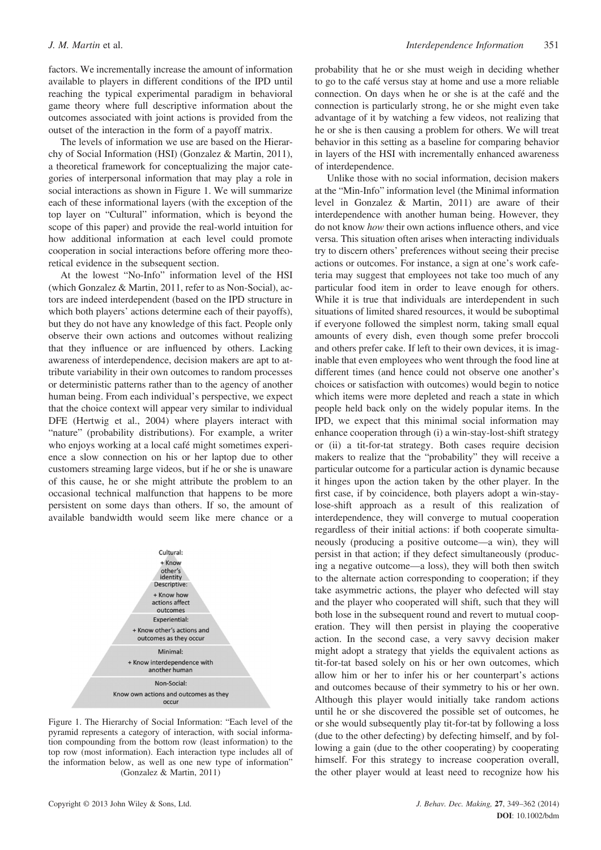factors. We incrementally increase the amount of information available to players in different conditions of the IPD until reaching the typical experimental paradigm in behavioral game theory where full descriptive information about the outcomes associated with joint actions is provided from the outset of the interaction in the form of a payoff matrix.

The levels of information we use are based on the Hierarchy of Social Information (HSI) (Gonzalez & Martin, 2011), a theoretical framework for conceptualizing the major categories of interpersonal information that may play a role in social interactions as shown in Figure 1. We will summarize each of these informational layers (with the exception of the top layer on "Cultural" information, which is beyond the scope of this paper) and provide the real-world intuition for how additional information at each level could promote cooperation in social interactions before offering more theoretical evidence in the subsequent section.

At the lowest "No-Info" information level of the HSI (which Gonzalez & Martin, 2011, refer to as Non-Social), actors are indeed interdependent (based on the IPD structure in which both players' actions determine each of their payoffs), but they do not have any knowledge of this fact. People only observe their own actions and outcomes without realizing that they influence or are influenced by others. Lacking awareness of interdependence, decision makers are apt to attribute variability in their own outcomes to random processes or deterministic patterns rather than to the agency of another human being. From each individual's perspective, we expect that the choice context will appear very similar to individual DFE (Hertwig et al., 2004) where players interact with "nature" (probability distributions). For example, a writer who enjoys working at a local café might sometimes experience a slow connection on his or her laptop due to other customers streaming large videos, but if he or she is unaware of this cause, he or she might attribute the problem to an occasional technical malfunction that happens to be more persistent on some days than others. If so, the amount of available bandwidth would seem like mere chance or a



Figure 1. The Hierarchy of Social Information: "Each level of the pyramid represents a category of interaction, with social information compounding from the bottom row (least information) to the top row (most information). Each interaction type includes all of the information below, as well as one new type of information" (Gonzalez & Martin, 2011)

probability that he or she must weigh in deciding whether to go to the café versus stay at home and use a more reliable connection. On days when he or she is at the café and the connection is particularly strong, he or she might even take advantage of it by watching a few videos, not realizing that he or she is then causing a problem for others. We will treat behavior in this setting as a baseline for comparing behavior in layers of the HSI with incrementally enhanced awareness of interdependence.

Unlike those with no social information, decision makers at the "Min-Info" information level (the Minimal information level in Gonzalez & Martin, 2011) are aware of their interdependence with another human being. However, they do not know how their own actions influence others, and vice versa. This situation often arises when interacting individuals try to discern others' preferences without seeing their precise actions or outcomes. For instance, a sign at one's work cafeteria may suggest that employees not take too much of any particular food item in order to leave enough for others. While it is true that individuals are interdependent in such situations of limited shared resources, it would be suboptimal if everyone followed the simplest norm, taking small equal amounts of every dish, even though some prefer broccoli and others prefer cake. If left to their own devices, it is imaginable that even employees who went through the food line at different times (and hence could not observe one another's choices or satisfaction with outcomes) would begin to notice which items were more depleted and reach a state in which people held back only on the widely popular items. In the IPD, we expect that this minimal social information may enhance cooperation through (i) a win-stay-lost-shift strategy or (ii) a tit-for-tat strategy. Both cases require decision makers to realize that the "probability" they will receive a particular outcome for a particular action is dynamic because it hinges upon the action taken by the other player. In the first case, if by coincidence, both players adopt a win-staylose-shift approach as a result of this realization of interdependence, they will converge to mutual cooperation regardless of their initial actions: if both cooperate simultaneously (producing a positive outcome—a win), they will persist in that action; if they defect simultaneously (producing a negative outcome—a loss), they will both then switch to the alternate action corresponding to cooperation; if they take asymmetric actions, the player who defected will stay and the player who cooperated will shift, such that they will both lose in the subsequent round and revert to mutual cooperation. They will then persist in playing the cooperative action. In the second case, a very savvy decision maker might adopt a strategy that yields the equivalent actions as tit-for-tat based solely on his or her own outcomes, which allow him or her to infer his or her counterpart's actions and outcomes because of their symmetry to his or her own. Although this player would initially take random actions until he or she discovered the possible set of outcomes, he or she would subsequently play tit-for-tat by following a loss (due to the other defecting) by defecting himself, and by following a gain (due to the other cooperating) by cooperating himself. For this strategy to increase cooperation overall, the other player would at least need to recognize how his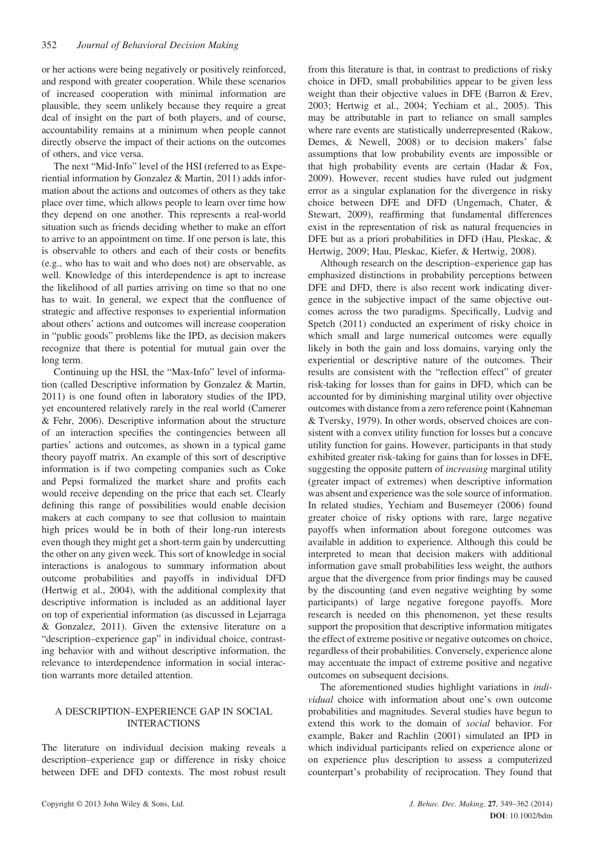or her actions were being negatively or positively reinforced, and respond with greater cooperation. While these scenarios of increased cooperation with minimal information are plausible, they seem unlikely because they require a great deal of insight on the part of both players, and of course, accountability remains at a minimum when people cannot directly observe the impact of their actions on the outcomes of others, and vice versa.

The next "Mid-Info" level of the HSI (referred to as Experiential information by Gonzalez & Martin, 2011) adds information about the actions and outcomes of others as they take place over time, which allows people to learn over time how they depend on one another. This represents a real-world situation such as friends deciding whether to make an effort to arrive to an appointment on time. If one person is late, this is observable to others and each of their costs or benefits (e.g., who has to wait and who does not) are observable, as well. Knowledge of this interdependence is apt to increase the likelihood of all parties arriving on time so that no one has to wait. In general, we expect that the confluence of strategic and affective responses to experiential information about others' actions and outcomes will increase cooperation in "public goods" problems like the IPD, as decision makers recognize that there is potential for mutual gain over the long term.

Continuing up the HSI, the "Max-Info" level of information (called Descriptive information by Gonzalez & Martin, 2011) is one found often in laboratory studies of the IPD, yet encountered relatively rarely in the real world (Camerer & Fehr, 2006). Descriptive information about the structure of an interaction specifies the contingencies between all parties' actions and outcomes, as shown in a typical game theory payoff matrix. An example of this sort of descriptive information is if two competing companies such as Coke and Pepsi formalized the market share and profits each would receive depending on the price that each set. Clearly defining this range of possibilities would enable decision makers at each company to see that collusion to maintain high prices would be in both of their long-run interests even though they might get a short-term gain by undercutting the other on any given week. This sort of knowledge in social interactions is analogous to summary information about outcome probabilities and payoffs in individual DFD (Hertwig et al., 2004), with the additional complexity that descriptive information is included as an additional layer on top of experiential information (as discussed in Lejarraga & Gonzalez, 2011). Given the extensive literature on a "description–experience gap" in individual choice, contrasting behavior with and without descriptive information, the relevance to interdependence information in social interaction warrants more detailed attention.

## A DESCRIPTION–EXPERIENCE GAP IN SOCIAL INTERACTIONS

The literature on individual decision making reveals a description–experience gap or difference in risky choice between DFE and DFD contexts. The most robust result from this literature is that, in contrast to predictions of risky choice in DFD, small probabilities appear to be given less weight than their objective values in DFE (Barron & Erev, 2003; Hertwig et al., 2004; Yechiam et al., 2005). This may be attributable in part to reliance on small samples where rare events are statistically underrepresented (Rakow, Demes, & Newell, 2008) or to decision makers' false assumptions that low probability events are impossible or that high probability events are certain (Hadar & Fox, 2009). However, recent studies have ruled out judgment error as a singular explanation for the divergence in risky choice between DFE and DFD (Ungemach, Chater, & Stewart, 2009), reaffirming that fundamental differences exist in the representation of risk as natural frequencies in DFE but as a priori probabilities in DFD (Hau, Pleskac, & Hertwig, 2009; Hau, Pleskac, Kiefer, & Hertwig, 2008).

Although research on the description–experience gap has emphasized distinctions in probability perceptions between DFE and DFD, there is also recent work indicating divergence in the subjective impact of the same objective outcomes across the two paradigms. Specifically, Ludvig and Spetch (2011) conducted an experiment of risky choice in which small and large numerical outcomes were equally likely in both the gain and loss domains, varying only the experiential or descriptive nature of the outcomes. Their results are consistent with the "reflection effect" of greater risk-taking for losses than for gains in DFD, which can be accounted for by diminishing marginal utility over objective outcomes with distance from a zero reference point (Kahneman & Tversky, 1979). In other words, observed choices are consistent with a convex utility function for losses but a concave utility function for gains. However, participants in that study exhibited greater risk-taking for gains than for losses in DFE, suggesting the opposite pattern of *increasing* marginal utility (greater impact of extremes) when descriptive information was absent and experience was the sole source of information. In related studies, Yechiam and Busemeyer (2006) found greater choice of risky options with rare, large negative payoffs when information about foregone outcomes was available in addition to experience. Although this could be interpreted to mean that decision makers with additional information gave small probabilities less weight, the authors argue that the divergence from prior findings may be caused by the discounting (and even negative weighting by some participants) of large negative foregone payoffs. More research is needed on this phenomenon, yet these results support the proposition that descriptive information mitigates the effect of extreme positive or negative outcomes on choice, regardless of their probabilities. Conversely, experience alone may accentuate the impact of extreme positive and negative outcomes on subsequent decisions.

The aforementioned studies highlight variations in individual choice with information about one's own outcome probabilities and magnitudes. Several studies have begun to extend this work to the domain of social behavior. For example, Baker and Rachlin (2001) simulated an IPD in which individual participants relied on experience alone or on experience plus description to assess a computerized counterpart's probability of reciprocation. They found that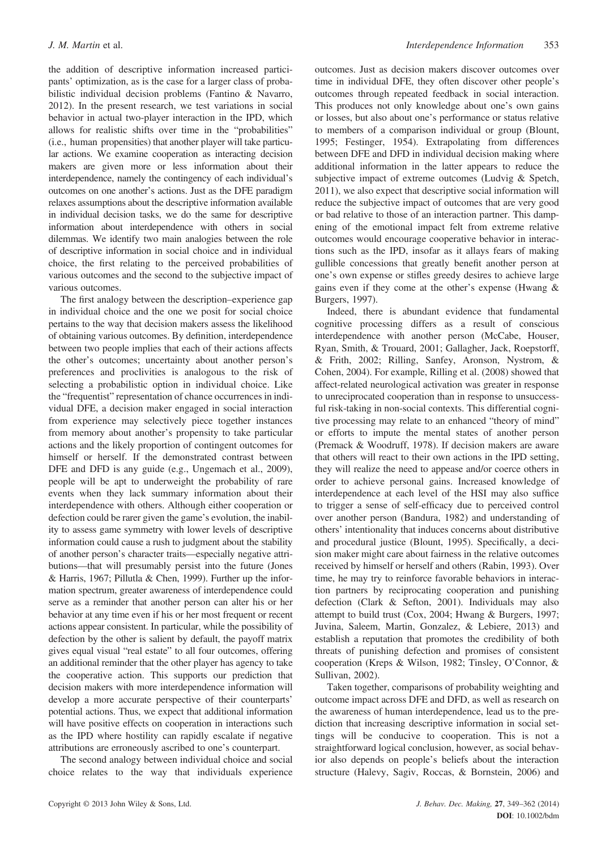the addition of descriptive information increased participants' optimization, as is the case for a larger class of probabilistic individual decision problems (Fantino & Navarro, 2012). In the present research, we test variations in social behavior in actual two-player interaction in the IPD, which allows for realistic shifts over time in the "probabilities" (i.e., human propensities) that another player will take particular actions. We examine cooperation as interacting decision makers are given more or less information about their interdependence, namely the contingency of each individual's outcomes on one another's actions. Just as the DFE paradigm relaxes assumptions about the descriptive information available in individual decision tasks, we do the same for descriptive information about interdependence with others in social dilemmas. We identify two main analogies between the role of descriptive information in social choice and in individual choice, the first relating to the perceived probabilities of various outcomes and the second to the subjective impact of various outcomes.

The first analogy between the description–experience gap in individual choice and the one we posit for social choice pertains to the way that decision makers assess the likelihood of obtaining various outcomes. By definition, interdependence between two people implies that each of their actions affects the other's outcomes; uncertainty about another person's preferences and proclivities is analogous to the risk of selecting a probabilistic option in individual choice. Like the "frequentist" representation of chance occurrences in individual DFE, a decision maker engaged in social interaction from experience may selectively piece together instances from memory about another's propensity to take particular actions and the likely proportion of contingent outcomes for himself or herself. If the demonstrated contrast between DFE and DFD is any guide (e.g., Ungemach et al., 2009), people will be apt to underweight the probability of rare events when they lack summary information about their interdependence with others. Although either cooperation or defection could be rarer given the game's evolution, the inability to assess game symmetry with lower levels of descriptive information could cause a rush to judgment about the stability of another person's character traits—especially negative attributions—that will presumably persist into the future (Jones & Harris, 1967; Pillutla & Chen, 1999). Further up the information spectrum, greater awareness of interdependence could serve as a reminder that another person can alter his or her behavior at any time even if his or her most frequent or recent actions appear consistent. In particular, while the possibility of defection by the other is salient by default, the payoff matrix gives equal visual "real estate" to all four outcomes, offering an additional reminder that the other player has agency to take the cooperative action. This supports our prediction that decision makers with more interdependence information will develop a more accurate perspective of their counterparts' potential actions. Thus, we expect that additional information will have positive effects on cooperation in interactions such as the IPD where hostility can rapidly escalate if negative attributions are erroneously ascribed to one's counterpart.

The second analogy between individual choice and social choice relates to the way that individuals experience outcomes. Just as decision makers discover outcomes over time in individual DFE, they often discover other people's outcomes through repeated feedback in social interaction. This produces not only knowledge about one's own gains or losses, but also about one's performance or status relative to members of a comparison individual or group (Blount, 1995; Festinger, 1954). Extrapolating from differences between DFE and DFD in individual decision making where additional information in the latter appears to reduce the subjective impact of extreme outcomes (Ludvig & Spetch, 2011), we also expect that descriptive social information will reduce the subjective impact of outcomes that are very good or bad relative to those of an interaction partner. This dampening of the emotional impact felt from extreme relative outcomes would encourage cooperative behavior in interactions such as the IPD, insofar as it allays fears of making gullible concessions that greatly benefit another person at one's own expense or stifles greedy desires to achieve large gains even if they come at the other's expense (Hwang & Burgers, 1997).

Indeed, there is abundant evidence that fundamental cognitive processing differs as a result of conscious interdependence with another person (McCabe, Houser, Ryan, Smith, & Trouard, 2001; Gallagher, Jack, Roepstorff, & Frith, 2002; Rilling, Sanfey, Aronson, Nystrom, & Cohen, 2004). For example, Rilling et al. (2008) showed that affect-related neurological activation was greater in response to unreciprocated cooperation than in response to unsuccessful risk-taking in non-social contexts. This differential cognitive processing may relate to an enhanced "theory of mind" or efforts to impute the mental states of another person (Premack & Woodruff, 1978). If decision makers are aware that others will react to their own actions in the IPD setting, they will realize the need to appease and/or coerce others in order to achieve personal gains. Increased knowledge of interdependence at each level of the HSI may also suffice to trigger a sense of self-efficacy due to perceived control over another person (Bandura, 1982) and understanding of others' intentionality that induces concerns about distributive and procedural justice (Blount, 1995). Specifically, a decision maker might care about fairness in the relative outcomes received by himself or herself and others (Rabin, 1993). Over time, he may try to reinforce favorable behaviors in interaction partners by reciprocating cooperation and punishing defection (Clark & Sefton, 2001). Individuals may also attempt to build trust (Cox, 2004; Hwang & Burgers, 1997; Juvina, Saleem, Martin, Gonzalez, & Lebiere, 2013) and establish a reputation that promotes the credibility of both threats of punishing defection and promises of consistent cooperation (Kreps & Wilson, 1982; Tinsley, O'Connor, & Sullivan, 2002).

Taken together, comparisons of probability weighting and outcome impact across DFE and DFD, as well as research on the awareness of human interdependence, lead us to the prediction that increasing descriptive information in social settings will be conducive to cooperation. This is not a straightforward logical conclusion, however, as social behavior also depends on people's beliefs about the interaction structure (Halevy, Sagiv, Roccas, & Bornstein, 2006) and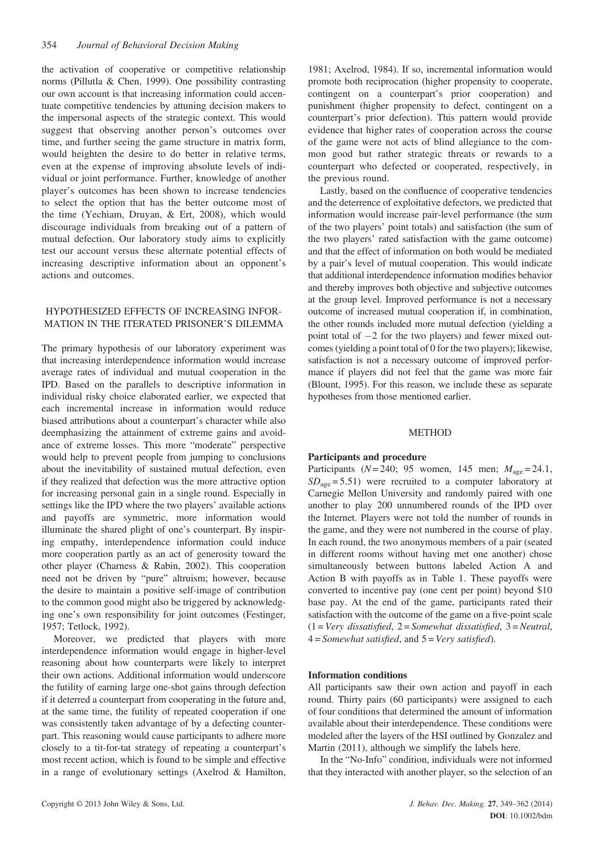the activation of cooperative or competitive relationship norms (Pillutla & Chen, 1999). One possibility contrasting our own account is that increasing information could accentuate competitive tendencies by attuning decision makers to the impersonal aspects of the strategic context. This would suggest that observing another person's outcomes over time, and further seeing the game structure in matrix form, would heighten the desire to do better in relative terms, even at the expense of improving absolute levels of individual or joint performance. Further, knowledge of another player's outcomes has been shown to increase tendencies to select the option that has the better outcome most of the time (Yechiam, Druyan, & Ert, 2008), which would discourage individuals from breaking out of a pattern of mutual defection. Our laboratory study aims to explicitly test our account versus these alternate potential effects of increasing descriptive information about an opponent's actions and outcomes.

### HYPOTHESIZED EFFECTS OF INCREASING INFOR-MATION IN THE ITERATED PRISONER'S DILEMMA

The primary hypothesis of our laboratory experiment was that increasing interdependence information would increase average rates of individual and mutual cooperation in the IPD. Based on the parallels to descriptive information in individual risky choice elaborated earlier, we expected that each incremental increase in information would reduce biased attributions about a counterpart's character while also deemphasizing the attainment of extreme gains and avoidance of extreme losses. This more "moderate" perspective would help to prevent people from jumping to conclusions about the inevitability of sustained mutual defection, even if they realized that defection was the more attractive option for increasing personal gain in a single round. Especially in settings like the IPD where the two players' available actions and payoffs are symmetric, more information would illuminate the shared plight of one's counterpart. By inspiring empathy, interdependence information could induce more cooperation partly as an act of generosity toward the other player (Charness & Rabin, 2002). This cooperation need not be driven by "pure" altruism; however, because the desire to maintain a positive self-image of contribution to the common good might also be triggered by acknowledging one's own responsibility for joint outcomes (Festinger, 1957; Tetlock, 1992).

Moreover, we predicted that players with more interdependence information would engage in higher-level reasoning about how counterparts were likely to interpret their own actions. Additional information would underscore the futility of earning large one-shot gains through defection if it deterred a counterpart from cooperating in the future and, at the same time, the futility of repeated cooperation if one was consistently taken advantage of by a defecting counterpart. This reasoning would cause participants to adhere more closely to a tit-for-tat strategy of repeating a counterpart's most recent action, which is found to be simple and effective in a range of evolutionary settings (Axelrod & Hamilton, 1981; Axelrod, 1984). If so, incremental information would promote both reciprocation (higher propensity to cooperate, contingent on a counterpart's prior cooperation) and punishment (higher propensity to defect, contingent on a counterpart's prior defection). This pattern would provide evidence that higher rates of cooperation across the course of the game were not acts of blind allegiance to the common good but rather strategic threats or rewards to a counterpart who defected or cooperated, respectively, in the previous round.

Lastly, based on the confluence of cooperative tendencies and the deterrence of exploitative defectors, we predicted that information would increase pair-level performance (the sum of the two players' point totals) and satisfaction (the sum of the two players' rated satisfaction with the game outcome) and that the effect of information on both would be mediated by a pair's level of mutual cooperation. This would indicate that additional interdependence information modifies behavior and thereby improves both objective and subjective outcomes at the group level. Improved performance is not a necessary outcome of increased mutual cooperation if, in combination, the other rounds included more mutual defection (yielding a point total of  $-2$  for the two players) and fewer mixed outcomes (yielding a point total of 0 for the two players); likewise, satisfaction is not a necessary outcome of improved performance if players did not feel that the game was more fair (Blount, 1995). For this reason, we include these as separate hypotheses from those mentioned earlier.

#### **METHOD**

#### Participants and procedure

Participants ( $N = 240$ ; 95 women, 145 men;  $M_{\text{age}} = 24.1$ ,  $SD<sub>ave</sub> = 5.51$ ) were recruited to a computer laboratory at Carnegie Mellon University and randomly paired with one another to play 200 unnumbered rounds of the IPD over the Internet. Players were not told the number of rounds in the game, and they were not numbered in the course of play. In each round, the two anonymous members of a pair (seated in different rooms without having met one another) chose simultaneously between buttons labeled Action A and Action B with payoffs as in Table 1. These payoffs were converted to incentive pay (one cent per point) beyond \$10 base pay. At the end of the game, participants rated their satisfaction with the outcome of the game on a five-point scale  $(1 = V$ ery dissatisfied,  $2 =$  Somewhat dissatisfied,  $3 =$  Neutral,  $4 =$ Somewhat satisfied, and  $5 =$ Very satisfied).

#### Information conditions

All participants saw their own action and payoff in each round. Thirty pairs (60 participants) were assigned to each of four conditions that determined the amount of information available about their interdependence. These conditions were modeled after the layers of the HSI outlined by Gonzalez and Martin (2011), although we simplify the labels here.

In the "No-Info" condition, individuals were not informed that they interacted with another player, so the selection of an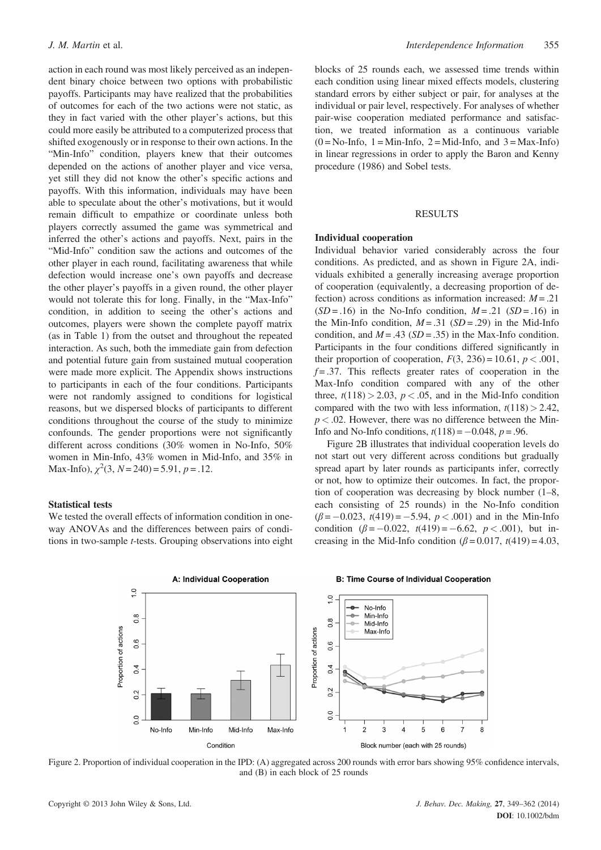action in each round was most likely perceived as an independent binary choice between two options with probabilistic payoffs. Participants may have realized that the probabilities of outcomes for each of the two actions were not static, as they in fact varied with the other player's actions, but this could more easily be attributed to a computerized process that shifted exogenously or in response to their own actions. In the "Min-Info" condition, players knew that their outcomes depended on the actions of another player and vice versa, yet still they did not know the other's specific actions and payoffs. With this information, individuals may have been able to speculate about the other's motivations, but it would remain difficult to empathize or coordinate unless both players correctly assumed the game was symmetrical and inferred the other's actions and payoffs. Next, pairs in the "Mid-Info" condition saw the actions and outcomes of the other player in each round, facilitating awareness that while defection would increase one's own payoffs and decrease the other player's payoffs in a given round, the other player would not tolerate this for long. Finally, in the "Max-Info" condition, in addition to seeing the other's actions and outcomes, players were shown the complete payoff matrix (as in Table 1) from the outset and throughout the repeated interaction. As such, both the immediate gain from defection and potential future gain from sustained mutual cooperation were made more explicit. The Appendix shows instructions to participants in each of the four conditions. Participants were not randomly assigned to conditions for logistical reasons, but we dispersed blocks of participants to different conditions throughout the course of the study to minimize confounds. The gender proportions were not significantly different across conditions (30% women in No-Info, 50% women in Min-Info, 43% women in Mid-Info, and 35% in Max-Info),  $\chi^2(3, N = 240) = 5.91$ ,  $p = .12$ .

## Statistical tests

We tested the overall effects of information condition in oneway ANOVAs and the differences between pairs of conditions in two-sample t-tests. Grouping observations into eight blocks of 25 rounds each, we assessed time trends within each condition using linear mixed effects models, clustering standard errors by either subject or pair, for analyses at the individual or pair level, respectively. For analyses of whether pair-wise cooperation mediated performance and satisfaction, we treated information as a continuous variable  $(0 = No-Info, 1 = Min-Info, 2 = Mid-Info, and 3 = Max-Info)$ in linear regressions in order to apply the Baron and Kenny procedure (1986) and Sobel tests.

#### RESULTS

## Individual cooperation

Individual behavior varied considerably across the four conditions. As predicted, and as shown in Figure 2A, individuals exhibited a generally increasing average proportion of cooperation (equivalently, a decreasing proportion of defection) across conditions as information increased:  $M = .21$  $(SD = .16)$  in the No-Info condition,  $M = .21$   $(SD = .16)$  in the Min-Info condition,  $M = .31$  (SD = .29) in the Mid-Info condition, and  $M = .43$  (SD = .35) in the Max-Info condition. Participants in the four conditions differed significantly in their proportion of cooperation,  $F(3, 236) = 10.61$ ,  $p < .001$ ,  $f = 0.37$ . This reflects greater rates of cooperation in the Max-Info condition compared with any of the other three,  $t(118) > 2.03$ ,  $p < .05$ , and in the Mid-Info condition compared with the two with less information,  $t(118) > 2.42$ ,  $p < .02$ . However, there was no difference between the Min-Info and No-Info conditions,  $t(118) = -0.048$ ,  $p = 0.96$ .

Figure 2B illustrates that individual cooperation levels do not start out very different across conditions but gradually spread apart by later rounds as participants infer, correctly or not, how to optimize their outcomes. In fact, the proportion of cooperation was decreasing by block number (1–8, each consisting of 25 rounds) in the No-Info condition  $(\beta = -0.023, t(419) = -5.94, p < .001)$  and in the Min-Info condition  $(\beta = -0.022, t(419) = -6.62, p < .001)$ , but increasing in the Mid-Info condition  $(\beta = 0.017, t(419) = 4.03,$ 



#### Figure 2. Proportion of individual cooperation in the IPD: (A) aggregated across 200 rounds with error bars showing 95% confidence intervals, and (B) in each block of 25 rounds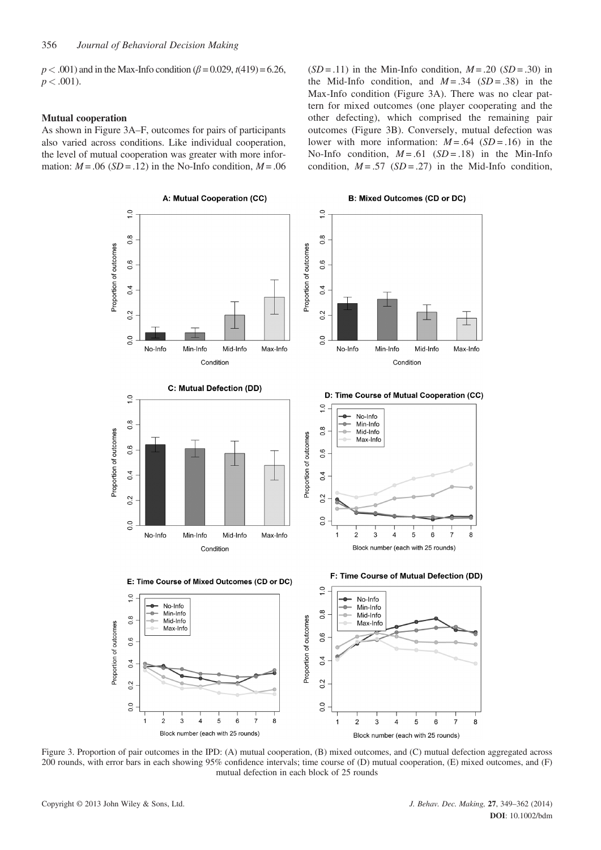$p < .001$ ) and in the Max-Info condition ( $\beta = 0.029$ ,  $t(419) = 6.26$ ,  $p < .001$ ).

#### Mutual cooperation

As shown in Figure 3A–F, outcomes for pairs of participants also varied across conditions. Like individual cooperation, the level of mutual cooperation was greater with more information:  $M = .06$  (SD = .12) in the No-Info condition,  $M = .06$   $(SD = .11)$  in the Min-Info condition,  $M = .20$   $(SD = .30)$  in the Mid-Info condition, and  $M = .34$  (SD = .38) in the Max-Info condition (Figure 3A). There was no clear pattern for mixed outcomes (one player cooperating and the other defecting), which comprised the remaining pair outcomes (Figure 3B). Conversely, mutual defection was lower with more information:  $M = .64$  (SD = .16) in the No-Info condition,  $M = .61$  (SD = .18) in the Min-Info condition,  $M = .57$  (SD = .27) in the Mid-Info condition,



Figure 3. Proportion of pair outcomes in the IPD: (A) mutual cooperation, (B) mixed outcomes, and (C) mutual defection aggregated across 200 rounds, with error bars in each showing 95% confidence intervals; time course of (D) mutual cooperation, (E) mixed outcomes, and (F) mutual defection in each block of 25 rounds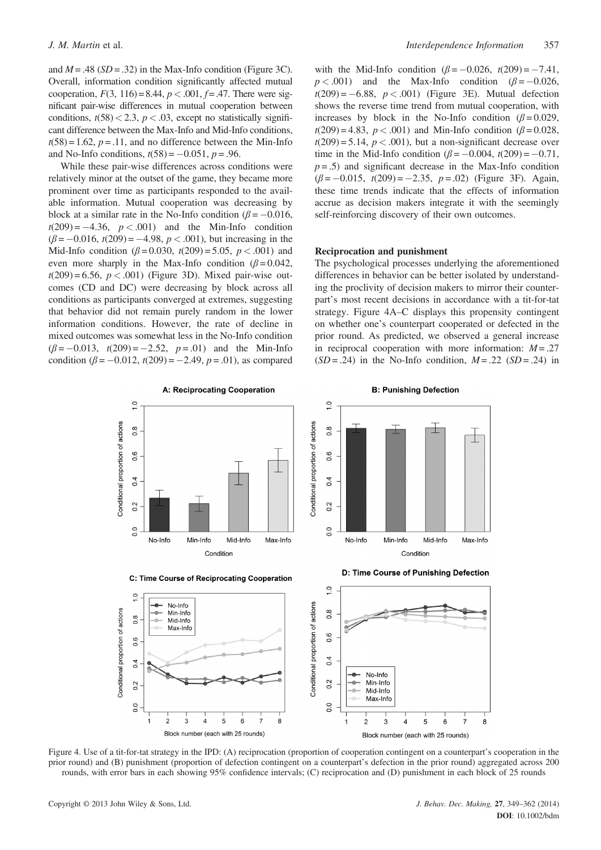and  $M = .48$  (SD = .32) in the Max-Info condition (Figure 3C). Overall, information condition significantly affected mutual cooperation,  $F(3, 116) = 8.44$ ,  $p < .001$ ,  $f = .47$ . There were significant pair-wise differences in mutual cooperation between conditions,  $t(58) < 2.3$ ,  $p < .03$ , except no statistically significant difference between the Max-Info and Mid-Info conditions,  $t(58) = 1.62$ ,  $p = .11$ , and no difference between the Min-Info and No-Info conditions,  $t(58) = -0.051$ ,  $p = 0.96$ .

While these pair-wise differences across conditions were relatively minor at the outset of the game, they became more prominent over time as participants responded to the available information. Mutual cooperation was decreasing by block at a similar rate in the No-Info condition ( $\beta$  = -0.016,  $t(209) = -4.36$ ,  $p < .001$ ) and the Min-Info condition  $(\beta = -0.016, t(209) = -4.98, p < .001)$ , but increasing in the Mid-Info condition ( $\beta$  = 0.030,  $t(209)$  = 5.05,  $p < .001$ ) and even more sharply in the Max-Info condition ( $\beta$  = 0.042,  $t(209) = 6.56$ ,  $p < .001$ ) (Figure 3D). Mixed pair-wise outcomes (CD and DC) were decreasing by block across all conditions as participants converged at extremes, suggesting that behavior did not remain purely random in the lower information conditions. However, the rate of decline in mixed outcomes was somewhat less in the No-Info condition  $(\beta = -0.013, t(209) = -2.52, p = .01)$  and the Min-Info condition  $(\beta = -0.012, t(209) = -2.49, p = .01)$ , as compared with the Mid-Info condition  $(\beta = -0.026, t(209) = -7.41,$  $p < .001$ ) and the Max-Info condition ( $\beta = -0.026$ ,  $t(209) = -6.88$ ,  $p < .001$ ) (Figure 3E). Mutual defection shows the reverse time trend from mutual cooperation, with increases by block in the No-Info condition  $(\beta = 0.029)$ ,  $t(209) = 4.83$ ,  $p < .001$ ) and Min-Info condition ( $\beta = 0.028$ ).  $t(209) = 5.14$ ,  $p < .001$ ), but a non-significant decrease over time in the Mid-Info condition ( $\beta = -0.004$ ,  $t(209) = -0.71$ ,  $p = .5$ ) and significant decrease in the Max-Info condition  $(\beta = -0.015, t(209) = -2.35, p = .02)$  (Figure 3F). Again, these time trends indicate that the effects of information accrue as decision makers integrate it with the seemingly self-reinforcing discovery of their own outcomes.

### Reciprocation and punishment

The psychological processes underlying the aforementioned differences in behavior can be better isolated by understanding the proclivity of decision makers to mirror their counterpart's most recent decisions in accordance with a tit-for-tat strategy. Figure 4A–C displays this propensity contingent on whether one's counterpart cooperated or defected in the prior round. As predicted, we observed a general increase in reciprocal cooperation with more information:  $M = .27$  $(SD = .24)$  in the No-Info condition,  $M = .22$   $(SD = .24)$  in



Figure 4. Use of a tit-for-tat strategy in the IPD: (A) reciprocation (proportion of cooperation contingent on a counterpart's cooperation in the prior round) and (B) punishment (proportion of defection contingent on a counterpart's defection in the prior round) aggregated across 200 rounds, with error bars in each showing 95% confidence intervals; (C) reciprocation and (D) punishment in each block of 25 rounds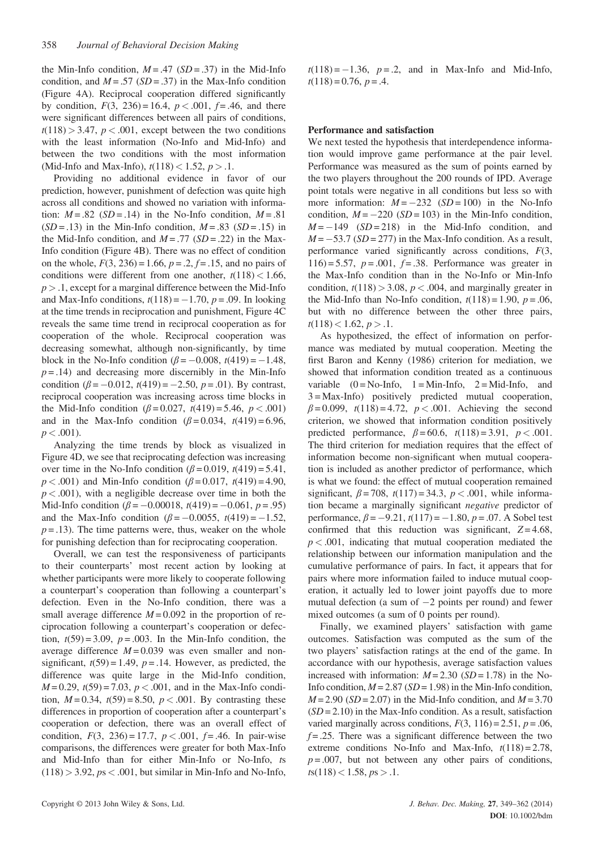the Min-Info condition,  $M = .47$  (SD = .37) in the Mid-Info condition, and  $M = .57$  (SD = .37) in the Max-Info condition (Figure 4A). Reciprocal cooperation differed significantly by condition,  $F(3, 236) = 16.4$ ,  $p < .001$ ,  $f = .46$ , and there were significant differences between all pairs of conditions,  $t(118) > 3.47$ ,  $p < .001$ , except between the two conditions with the least information (No-Info and Mid-Info) and between the two conditions with the most information (Mid-Info and Max-Info),  $t(118) < 1.52$ ,  $p > 0.1$ .

Providing no additional evidence in favor of our prediction, however, punishment of defection was quite high across all conditions and showed no variation with information:  $M = .82$  (SD = .14) in the No-Info condition,  $M = .81$  $(SD = .13)$  in the Min-Info condition,  $M = .83$   $(SD = .15)$  in the Mid-Info condition, and  $M = .77$  (SD = .22) in the Max-Info condition (Figure 4B). There was no effect of condition on the whole,  $F(3, 236) = 1.66$ ,  $p = .2$ ,  $f = .15$ , and no pairs of conditions were different from one another,  $t(118) < 1.66$ ,  $p > 0.1$ , except for a marginal difference between the Mid-Info and Max-Info conditions,  $t(118) = -1.70$ ,  $p = .09$ . In looking at the time trends in reciprocation and punishment, Figure 4C reveals the same time trend in reciprocal cooperation as for cooperation of the whole. Reciprocal cooperation was decreasing somewhat, although non-significantly, by time block in the No-Info condition  $(\beta = -0.008, t(419)) = -1.48$ ,  $p = .14$ ) and decreasing more discernibly in the Min-Info condition  $(\beta = -0.012, t(419) = -2.50, p = .01)$ . By contrast, reciprocal cooperation was increasing across time blocks in the Mid-Info condition ( $\beta = 0.027$ ,  $t(419) = 5.46$ ,  $p < .001$ ) and in the Max-Info condition  $(\beta = 0.034, t(419) = 6.96,$  $p < .001$ ).

Analyzing the time trends by block as visualized in Figure 4D, we see that reciprocating defection was increasing over time in the No-Info condition  $(\beta = 0.019, t(419) = 5.41,$  $p < .001$ ) and Min-Info condition ( $\beta = 0.017$ ,  $t(419) = 4.90$ ,  $p < .001$ ), with a negligible decrease over time in both the Mid-Info condition  $(\beta = -0.00018, t(419) = -0.061, p = .95)$ and the Max-Info condition ( $\beta = -0.0055$ ,  $t(419) = -1.52$ ,  $p = .13$ ). The time patterns were, thus, weaker on the whole for punishing defection than for reciprocating cooperation.

Overall, we can test the responsiveness of participants to their counterparts' most recent action by looking at whether participants were more likely to cooperate following a counterpart's cooperation than following a counterpart's defection. Even in the No-Info condition, there was a small average difference  $M = 0.092$  in the proportion of reciprocation following a counterpart's cooperation or defection,  $t(59) = 3.09$ ,  $p = .003$ . In the Min-Info condition, the average difference  $M = 0.039$  was even smaller and nonsignificant,  $t(59) = 1.49$ ,  $p = .14$ . However, as predicted, the difference was quite large in the Mid-Info condition,  $M = 0.29$ ,  $t(59) = 7.03$ ,  $p < .001$ , and in the Max-Info condition,  $M = 0.34$ ,  $t(59) = 8.50$ ,  $p < .001$ . By contrasting these differences in proportion of cooperation after a counterpart's cooperation or defection, there was an overall effect of condition,  $F(3, 236) = 17.7$ ,  $p < .001$ ,  $f = .46$ . In pair-wise comparisons, the differences were greater for both Max-Info and Mid-Info than for either Min-Info or No-Info, ts  $(118)$  > 3.92,  $ps < .001$ , but similar in Min-Info and No-Info,  $t(118) = -1.36$ ,  $p = .2$ , and in Max-Info and Mid-Info,  $t(118) = 0.76, p = .4.$ 

#### Performance and satisfaction

We next tested the hypothesis that interdependence information would improve game performance at the pair level. Performance was measured as the sum of points earned by the two players throughout the 200 rounds of IPD. Average point totals were negative in all conditions but less so with more information:  $M = -232$  (SD = 100) in the No-Info condition,  $M = -220$  (SD = 103) in the Min-Info condition,  $M = -149$  (SD = 218) in the Mid-Info condition, and  $M = -53.7$  (SD = 277) in the Max-Info condition. As a result, performance varied significantly across conditions, F(3,  $116$ ) = 5.57,  $p = .001$ ,  $f = .38$ . Performance was greater in the Max-Info condition than in the No-Info or Min-Info condition,  $t(118) > 3.08$ ,  $p < .004$ , and marginally greater in the Mid-Info than No-Info condition,  $t(118) = 1.90$ ,  $p = .06$ , but with no difference between the other three pairs,  $t(118) < 1.62, p > .1.$ 

As hypothesized, the effect of information on performance was mediated by mutual cooperation. Meeting the first Baron and Kenny (1986) criterion for mediation, we showed that information condition treated as a continuous variable  $(0 = No-Info, 1 = Min-Info, 2 = Mid-Info, and$ 3 = Max-Info) positively predicted mutual cooperation,  $\beta = 0.099$ ,  $t(118) = 4.72$ ,  $p < .001$ . Achieving the second criterion, we showed that information condition positively predicted performance,  $\beta = 60.6$ ,  $t(118) = 3.91$ ,  $p < .001$ . The third criterion for mediation requires that the effect of information become non-significant when mutual cooperation is included as another predictor of performance, which is what we found: the effect of mutual cooperation remained significant,  $\beta = 708$ ,  $t(117) = 34.3$ ,  $p < .001$ , while information became a marginally significant negative predictor of performance,  $\beta = -9.21$ ,  $t(117) = -1.80$ ,  $p = .07$ . A Sobel test confirmed that this reduction was significant,  $Z = 4.68$ ,  $p < .001$ , indicating that mutual cooperation mediated the relationship between our information manipulation and the cumulative performance of pairs. In fact, it appears that for pairs where more information failed to induce mutual cooperation, it actually led to lower joint payoffs due to more mutual defection (a sum of  $-2$  points per round) and fewer mixed outcomes (a sum of 0 points per round).

Finally, we examined players' satisfaction with game outcomes. Satisfaction was computed as the sum of the two players' satisfaction ratings at the end of the game. In accordance with our hypothesis, average satisfaction values increased with information:  $M = 2.30$  (SD = 1.78) in the No-Info condition,  $M = 2.87$  (SD = 1.98) in the Min-Info condition,  $M = 2.90$  (SD = 2.07) in the Mid-Info condition, and  $M = 3.70$  $(SD = 2.10)$  in the Max-Info condition. As a result, satisfaction varied marginally across conditions,  $F(3, 116) = 2.51$ ,  $p = .06$ ,  $f = 0.25$ . There was a significant difference between the two extreme conditions No-Info and Max-Info,  $t(118) = 2.78$ ,  $p = .007$ , but not between any other pairs of conditions,  $ts(118) < 1.58, ps > 0.1.$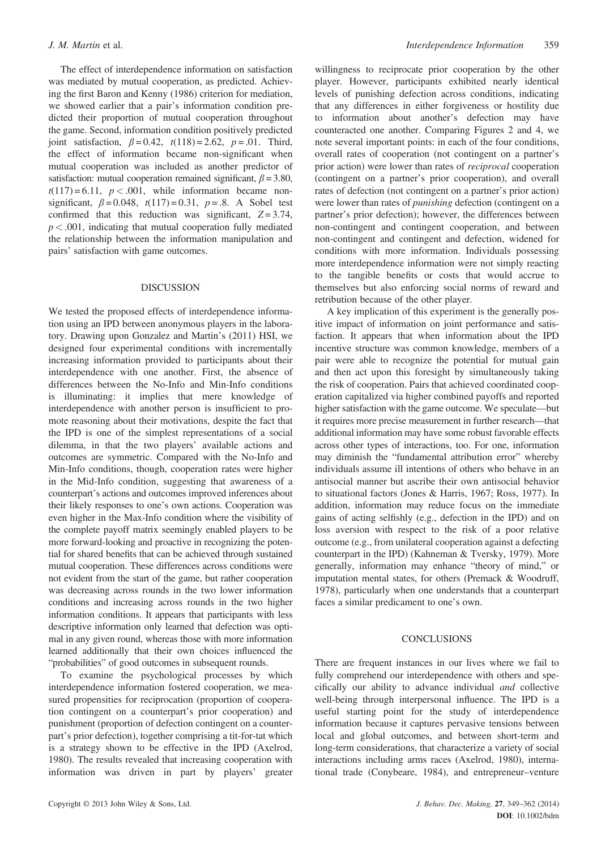The effect of interdependence information on satisfaction was mediated by mutual cooperation, as predicted. Achieving the first Baron and Kenny (1986) criterion for mediation, we showed earlier that a pair's information condition predicted their proportion of mutual cooperation throughout the game. Second, information condition positively predicted joint satisfaction,  $\beta = 0.42$ ,  $t(118) = 2.62$ ,  $p = .01$ . Third, the effect of information became non-significant when mutual cooperation was included as another predictor of satisfaction: mutual cooperation remained significant,  $\beta = 3.80$ ,  $t(117) = 6.11$ ,  $p < .001$ , while information became nonsignificant,  $\beta = 0.048$ ,  $t(117) = 0.31$ ,  $p = .8$ . A Sobel test confirmed that this reduction was significant,  $Z = 3.74$ ,  $p < .001$ , indicating that mutual cooperation fully mediated the relationship between the information manipulation and pairs' satisfaction with game outcomes.

#### DISCUSSION

We tested the proposed effects of interdependence information using an IPD between anonymous players in the laboratory. Drawing upon Gonzalez and Martin's (2011) HSI, we designed four experimental conditions with incrementally increasing information provided to participants about their interdependence with one another. First, the absence of differences between the No-Info and Min-Info conditions is illuminating: it implies that mere knowledge of interdependence with another person is insufficient to promote reasoning about their motivations, despite the fact that the IPD is one of the simplest representations of a social dilemma, in that the two players' available actions and outcomes are symmetric. Compared with the No-Info and Min-Info conditions, though, cooperation rates were higher in the Mid-Info condition, suggesting that awareness of a counterpart's actions and outcomes improved inferences about their likely responses to one's own actions. Cooperation was even higher in the Max-Info condition where the visibility of the complete payoff matrix seemingly enabled players to be more forward-looking and proactive in recognizing the potential for shared benefits that can be achieved through sustained mutual cooperation. These differences across conditions were not evident from the start of the game, but rather cooperation was decreasing across rounds in the two lower information conditions and increasing across rounds in the two higher information conditions. It appears that participants with less descriptive information only learned that defection was optimal in any given round, whereas those with more information learned additionally that their own choices influenced the "probabilities" of good outcomes in subsequent rounds.

To examine the psychological processes by which interdependence information fostered cooperation, we measured propensities for reciprocation (proportion of cooperation contingent on a counterpart's prior cooperation) and punishment (proportion of defection contingent on a counterpart's prior defection), together comprising a tit-for-tat which is a strategy shown to be effective in the IPD (Axelrod, 1980). The results revealed that increasing cooperation with information was driven in part by players' greater willingness to reciprocate prior cooperation by the other player. However, participants exhibited nearly identical levels of punishing defection across conditions, indicating that any differences in either forgiveness or hostility due to information about another's defection may have counteracted one another. Comparing Figures 2 and 4, we note several important points: in each of the four conditions, overall rates of cooperation (not contingent on a partner's prior action) were lower than rates of reciprocal cooperation (contingent on a partner's prior cooperation), and overall rates of defection (not contingent on a partner's prior action) were lower than rates of punishing defection (contingent on a partner's prior defection); however, the differences between non-contingent and contingent cooperation, and between non-contingent and contingent and defection, widened for conditions with more information. Individuals possessing more interdependence information were not simply reacting to the tangible benefits or costs that would accrue to themselves but also enforcing social norms of reward and retribution because of the other player.

A key implication of this experiment is the generally positive impact of information on joint performance and satisfaction. It appears that when information about the IPD incentive structure was common knowledge, members of a pair were able to recognize the potential for mutual gain and then act upon this foresight by simultaneously taking the risk of cooperation. Pairs that achieved coordinated cooperation capitalized via higher combined payoffs and reported higher satisfaction with the game outcome. We speculate—but it requires more precise measurement in further research—that additional information may have some robust favorable effects across other types of interactions, too. For one, information may diminish the "fundamental attribution error" whereby individuals assume ill intentions of others who behave in an antisocial manner but ascribe their own antisocial behavior to situational factors (Jones & Harris, 1967; Ross, 1977). In addition, information may reduce focus on the immediate gains of acting selfishly (e.g., defection in the IPD) and on loss aversion with respect to the risk of a poor relative outcome (e.g., from unilateral cooperation against a defecting counterpart in the IPD) (Kahneman & Tversky, 1979). More generally, information may enhance "theory of mind," or imputation mental states, for others (Premack & Woodruff, 1978), particularly when one understands that a counterpart faces a similar predicament to one's own.

#### **CONCLUSIONS**

There are frequent instances in our lives where we fail to fully comprehend our interdependence with others and specifically our ability to advance individual and collective well-being through interpersonal influence. The IPD is a useful starting point for the study of interdependence information because it captures pervasive tensions between local and global outcomes, and between short-term and long-term considerations, that characterize a variety of social interactions including arms races (Axelrod, 1980), international trade (Conybeare, 1984), and entrepreneur–venture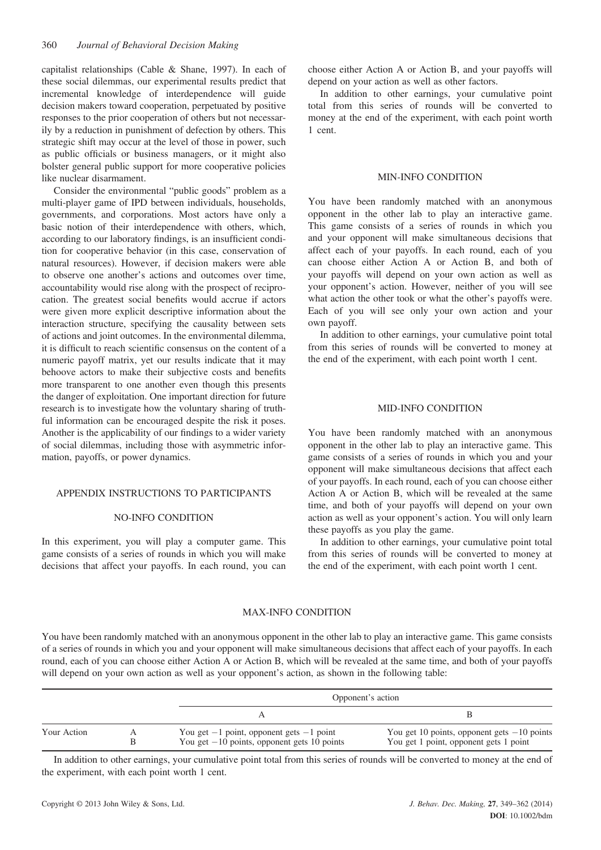capitalist relationships (Cable & Shane, 1997). In each of these social dilemmas, our experimental results predict that incremental knowledge of interdependence will guide decision makers toward cooperation, perpetuated by positive responses to the prior cooperation of others but not necessarily by a reduction in punishment of defection by others. This strategic shift may occur at the level of those in power, such as public officials or business managers, or it might also bolster general public support for more cooperative policies like nuclear disarmament.

Consider the environmental "public goods" problem as a multi-player game of IPD between individuals, households, governments, and corporations. Most actors have only a basic notion of their interdependence with others, which, according to our laboratory findings, is an insufficient condition for cooperative behavior (in this case, conservation of natural resources). However, if decision makers were able to observe one another's actions and outcomes over time, accountability would rise along with the prospect of reciprocation. The greatest social benefits would accrue if actors were given more explicit descriptive information about the interaction structure, specifying the causality between sets of actions and joint outcomes. In the environmental dilemma, it is difficult to reach scientific consensus on the content of a numeric payoff matrix, yet our results indicate that it may behoove actors to make their subjective costs and benefits more transparent to one another even though this presents the danger of exploitation. One important direction for future research is to investigate how the voluntary sharing of truthful information can be encouraged despite the risk it poses. Another is the applicability of our findings to a wider variety of social dilemmas, including those with asymmetric information, payoffs, or power dynamics.

### APPENDIX INSTRUCTIONS TO PARTICIPANTS

## NO-INFO CONDITION

In this experiment, you will play a computer game. This game consists of a series of rounds in which you will make decisions that affect your payoffs. In each round, you can choose either Action A or Action B, and your payoffs will depend on your action as well as other factors.

In addition to other earnings, your cumulative point total from this series of rounds will be converted to money at the end of the experiment, with each point worth 1 cent.

#### MIN-INFO CONDITION

You have been randomly matched with an anonymous opponent in the other lab to play an interactive game. This game consists of a series of rounds in which you and your opponent will make simultaneous decisions that affect each of your payoffs. In each round, each of you can choose either Action A or Action B, and both of your payoffs will depend on your own action as well as your opponent's action. However, neither of you will see what action the other took or what the other's payoffs were. Each of you will see only your own action and your own payoff.

In addition to other earnings, your cumulative point total from this series of rounds will be converted to money at the end of the experiment, with each point worth 1 cent.

#### MID-INFO CONDITION

You have been randomly matched with an anonymous opponent in the other lab to play an interactive game. This game consists of a series of rounds in which you and your opponent will make simultaneous decisions that affect each of your payoffs. In each round, each of you can choose either Action A or Action B, which will be revealed at the same time, and both of your payoffs will depend on your own action as well as your opponent's action. You will only learn these payoffs as you play the game.

In addition to other earnings, your cumulative point total from this series of rounds will be converted to money at the end of the experiment, with each point worth 1 cent.

## MAX-INFO CONDITION

You have been randomly matched with an anonymous opponent in the other lab to play an interactive game. This game consists of a series of rounds in which you and your opponent will make simultaneous decisions that affect each of your payoffs. In each round, each of you can choose either Action A or Action B, which will be revealed at the same time, and both of your payoffs will depend on your own action as well as your opponent's action, as shown in the following table:

|             |                                                                                               | Opponent's action                                                                       |  |  |
|-------------|-----------------------------------------------------------------------------------------------|-----------------------------------------------------------------------------------------|--|--|
|             |                                                                                               |                                                                                         |  |  |
| Your Action | You get $-1$ point, opponent gets $-1$ point<br>You get $-10$ points, opponent gets 10 points | You get 10 points, opponent gets $-10$ points<br>You get 1 point, opponent gets 1 point |  |  |

In addition to other earnings, your cumulative point total from this series of rounds will be converted to money at the end of the experiment, with each point worth 1 cent.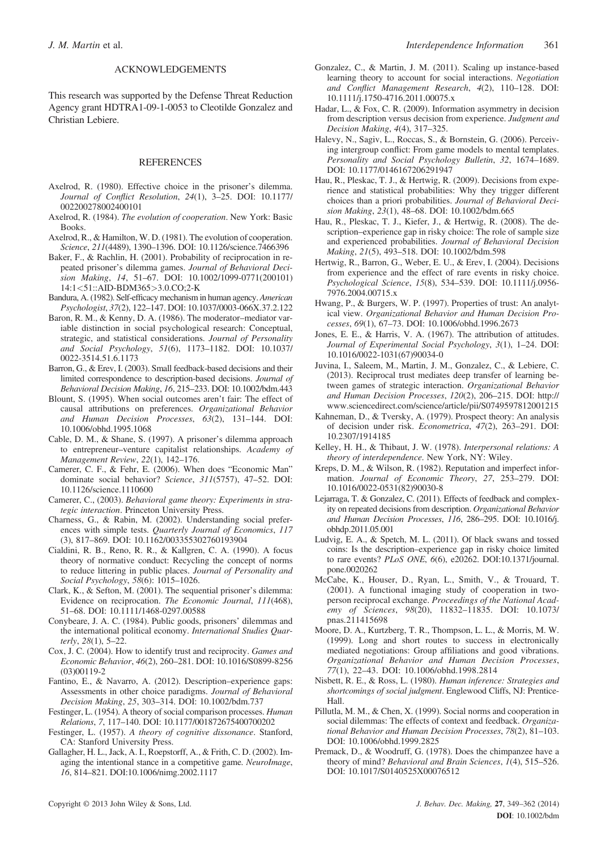## ACKNOWLEDGEMENTS

This research was supported by the Defense Threat Reduction Agency grant HDTRA1-09-1-0053 to Cleotilde Gonzalez and Christian Lebiere.

## **REFERENCES**

- Axelrod, R. (1980). Effective choice in the prisoner's dilemma. Journal of Conflict Resolution, 24(1), 3–25. DOI: 10.1177/ 002200278002400101
- Axelrod, R. (1984). The evolution of cooperation. New York: Basic Books.
- Axelrod, R., & Hamilton, W. D. (1981). The evolution of cooperation. Science, 211(4489), 1390–1396. DOI: 10.1126/science.7466396
- Baker, F., & Rachlin, H. (2001). Probability of reciprocation in repeated prisoner's dilemma games. Journal of Behavioral Decision Making, 14, 51–67. DOI: 10.1002/1099-0771(200101) 14:1<51::AID-BDM365>3.0.CO;2-K
- Bandura, A. (1982). Self-efficacy mechanism in human agency. American Psychologist, 37(2), 122–147. DOI: 10.1037/0003-066X.37.2.122
- Baron, R. M., & Kenny, D. A. (1986). The moderator–mediator variable distinction in social psychological research: Conceptual, strategic, and statistical considerations. Journal of Personality and Social Psychology, 51(6), 1173–1182. DOI: 10.1037/ 0022-3514.51.6.1173
- Barron, G., & Erev, I. (2003). Small feedback-based decisions and their limited correspondence to description-based decisions. Journal of Behavioral Decision Making, 16, 215–233. DOI: 10.1002/bdm.443
- Blount, S. (1995). When social outcomes aren't fair: The effect of causal attributions on preferences. Organizational Behavior and Human Decision Processes, 63(2), 131-144. DOI: 10.1006/obhd.1995.1068
- Cable, D. M., & Shane, S. (1997). A prisoner's dilemma approach to entrepreneur–venture capitalist relationships. Academy of Management Review, 22(1), 142–176.
- Camerer, C. F., & Fehr, E. (2006). When does "Economic Man" dominate social behavior? Science, 311(5757), 47–52. DOI: 10.1126/science.1110600
- Camerer, C., (2003). Behavioral game theory: Experiments in strategic interaction. Princeton University Press.
- Charness, G., & Rabin, M. (2002). Understanding social preferences with simple tests. Quarterly Journal of Economics, 117 (3), 817–869. DOI: 10.1162/003355302760193904
- Cialdini, R. B., Reno, R. R., & Kallgren, C. A. (1990). A focus theory of normative conduct: Recycling the concept of norms to reduce littering in public places. Journal of Personality and Social Psychology, 58(6): 1015–1026.
- Clark, K., & Sefton, M. (2001). The sequential prisoner's dilemma: Evidence on reciprocation. The Economic Journal, 111(468), 51–68. DOI: 10.1111/1468-0297.00588
- Conybeare, J. A. C. (1984). Public goods, prisoners' dilemmas and the international political economy. International Studies Quarterly, 28(1), 5–22.
- Cox, J. C. (2004). How to identify trust and reciprocity. Games and Economic Behavior, 46(2), 260–281. DOI: 10.1016/S0899-8256 (03)00119-2
- Fantino, E., & Navarro, A. (2012). Description–experience gaps: Assessments in other choice paradigms. Journal of Behavioral Decision Making, 25, 303–314. DOI: 10.1002/bdm.737
- Festinger, L. (1954). A theory of social comparison processes. Human Relations, 7, 117–140. DOI: 10.1177/001872675400700202
- Festinger, L. (1957). A theory of cognitive dissonance. Stanford, CA: Stanford University Press.
- Gallagher, H. L., Jack, A. I., Roepstorff, A., & Frith, C. D. (2002). Imaging the intentional stance in a competitive game. NeuroImage, 16, 814–821. DOI:10.1006/nimg.2002.1117
- Gonzalez, C., & Martin, J. M. (2011). Scaling up instance-based learning theory to account for social interactions. Negotiation and Conflict Management Research, 4(2), 110–128. DOI: 10.1111/j.1750-4716.2011.00075.x
- Hadar, L., & Fox, C. R. (2009). Information asymmetry in decision from description versus decision from experience. Judgment and Decision Making, 4(4), 317–325.
- Halevy, N., Sagiv, L., Roccas, S., & Bornstein, G. (2006). Perceiving intergroup conflict: From game models to mental templates. Personality and Social Psychology Bulletin, 32, 1674–1689. DOI: 10.1177/0146167206291947
- Hau, R., Pleskac, T. J., & Hertwig, R. (2009). Decisions from experience and statistical probabilities: Why they trigger different choices than a priori probabilities. Journal of Behavioral Decision Making, 23(1), 48–68. DOI: 10.1002/bdm.665
- Hau, R., Pleskac, T. J., Kiefer, J., & Hertwig, R. (2008). The description–experience gap in risky choice: The role of sample size and experienced probabilities. Journal of Behavioral Decision Making, 21(5), 493–518. DOI: 10.1002/bdm.598
- Hertwig, R., Barron, G., Weber, E. U., & Erev, I. (2004). Decisions from experience and the effect of rare events in risky choice. Psychological Science, 15(8), 534–539. DOI: 10.1111/j.0956- 7976.2004.00715.x
- Hwang, P., & Burgers, W. P. (1997). Properties of trust: An analytical view. Organizational Behavior and Human Decision Processes, 69(1), 67–73. DOI: 10.1006/obhd.1996.2673
- Jones, E. E., & Harris, V. A. (1967). The attribution of attitudes. Journal of Experimental Social Psychology, 3(1), 1–24. DOI: 10.1016/0022-1031(67)90034-0
- Juvina, I., Saleem, M., Martin, J. M., Gonzalez, C., & Lebiere, C. (2013). Reciprocal trust mediates deep transfer of learning between games of strategic interaction. Organizational Behavior and Human Decision Processes, 120(2), 206–215. DOI: [http://](http://www.sciencedirect.com/science/article/pii/S0749597812001215) [www.sciencedirect.com/science/article/pii/S0749597812001215](http://www.sciencedirect.com/science/article/pii/S0749597812001215)
- Kahneman, D., & Tversky, A. (1979). Prospect theory: An analysis of decision under risk. Econometrica, 47(2), 263–291. DOI: 10.2307/1914185
- Kelley, H. H., & Thibaut, J. W. (1978). Interpersonal relations: A theory of interdependence. New York, NY: Wiley.
- Kreps, D. M., & Wilson, R. (1982). Reputation and imperfect information. Journal of Economic Theory, 27, 253–279. DOI: 10.1016/0022-0531(82)90030-8
- Lejarraga, T. & Gonzalez, C. (2011). Effects of feedback and complexity on repeated decisions from description. Organizational Behavior and Human Decision Processes, 116, 286–295. DOI: 10.1016/j. obhdp.2011.05.001
- Ludvig, E. A., & Spetch, M. L. (2011). Of black swans and tossed coins: Is the description–experience gap in risky choice limited to rare events? PLoS ONE, 6(6), e20262. DOI:10.1371/journal. pone.0020262
- McCabe, K., Houser, D., Ryan, L., Smith, V., & Trouard, T. (2001). A functional imaging study of cooperation in twoperson reciprocal exchange. Proceedings of the National Academy of Sciences, 98(20), 11832–11835. DOI: 10.1073/ pnas.211415698
- Moore, D. A., Kurtzberg, T. R., Thompson, L. L., & Morris, M. W. (1999). Long and short routes to success in electronically mediated negotiations: Group affiliations and good vibrations. Organizational Behavior and Human Decision Processes, 77(1), 22–43. DOI: 10.1006/obhd.1998.2814
- Nisbett, R. E., & Ross, L. (1980). Human inference: Strategies and shortcomings of social judgment. Englewood Cliffs, NJ: Prentice-Hall.
- Pillutla, M. M., & Chen, X. (1999). Social norms and cooperation in social dilemmas: The effects of context and feedback. Organizational Behavior and Human Decision Processes, 78(2), 81–103. DOI: 10.1006/obhd.1999.2825
- Premack, D., & Woodruff, G. (1978). Does the chimpanzee have a theory of mind? Behavioral and Brain Sciences, 1(4), 515-526. DOI: 10.1017/S0140525X00076512